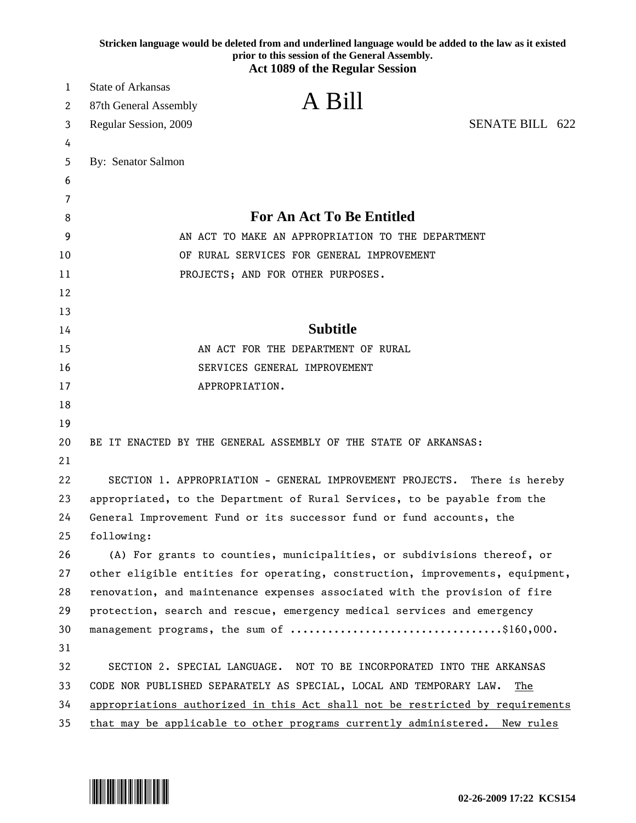|          | Stricken language would be deleted from and underlined language would be added to the law as it existed<br>prior to this session of the General Assembly. |
|----------|-----------------------------------------------------------------------------------------------------------------------------------------------------------|
|          | <b>Act 1089 of the Regular Session</b>                                                                                                                    |
| 1        | <b>State of Arkansas</b>                                                                                                                                  |
| 2        | A Bill<br>87th General Assembly                                                                                                                           |
| 3        | SENATE BILL 622<br>Regular Session, 2009                                                                                                                  |
| 4        |                                                                                                                                                           |
| 5        | By: Senator Salmon                                                                                                                                        |
| 6        |                                                                                                                                                           |
| 7        | <b>For An Act To Be Entitled</b>                                                                                                                          |
| 8        |                                                                                                                                                           |
| 9        | AN ACT TO MAKE AN APPROPRIATION TO THE DEPARTMENT                                                                                                         |
| 10       | OF RURAL SERVICES FOR GENERAL IMPROVEMENT                                                                                                                 |
| 11       | PROJECTS; AND FOR OTHER PURPOSES.                                                                                                                         |
| 12       |                                                                                                                                                           |
| 13       | <b>Subtitle</b>                                                                                                                                           |
| 14       |                                                                                                                                                           |
| 15<br>16 | AN ACT FOR THE DEPARTMENT OF RURAL                                                                                                                        |
| 17       | SERVICES GENERAL IMPROVEMENT<br>APPROPRIATION.                                                                                                            |
| 18       |                                                                                                                                                           |
| 19       |                                                                                                                                                           |
| 20       | BE IT ENACTED BY THE GENERAL ASSEMBLY OF THE STATE OF ARKANSAS:                                                                                           |
| 21       |                                                                                                                                                           |
| 22       | SECTION 1. APPROPRIATION - GENERAL IMPROVEMENT PROJECTS. There is hereby                                                                                  |
| 23       | appropriated, to the Department of Rural Services, to be payable from the                                                                                 |
| 24       | General Improvement Fund or its successor fund or fund accounts, the                                                                                      |
| 25       | following:                                                                                                                                                |
| 26       | (A) For grants to counties, municipalities, or subdivisions thereof, or                                                                                   |
| 27       | other eligible entities for operating, construction, improvements, equipment,                                                                             |
| 28       | renovation, and maintenance expenses associated with the provision of fire                                                                                |
| 29       | protection, search and rescue, emergency medical services and emergency                                                                                   |
| 30       |                                                                                                                                                           |
| 31       |                                                                                                                                                           |
| 32       | SECTION 2. SPECIAL LANGUAGE. NOT TO BE INCORPORATED INTO THE ARKANSAS                                                                                     |
| 33       | CODE NOR PUBLISHED SEPARATELY AS SPECIAL, LOCAL AND TEMPORARY LAW.<br>The                                                                                 |
| 34       | appropriations authorized in this Act shall not be restricted by requirements                                                                             |
| 35       | that may be applicable to other programs currently administered. New rules                                                                                |

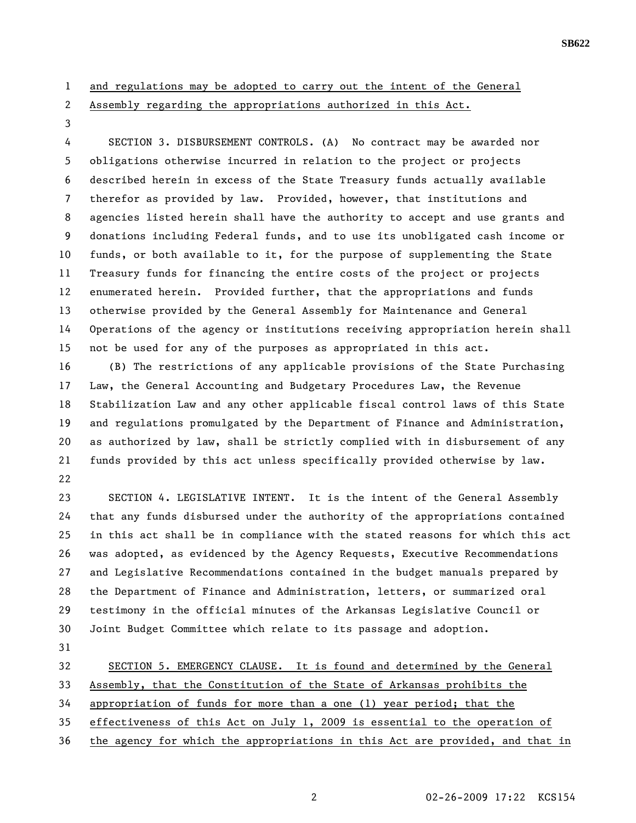## 1 and regulations may be adopted to carry out the intent of the General

2 Assembly regarding the appropriations authorized in this Act.

3

4 SECTION 3. DISBURSEMENT CONTROLS. (A) No contract may be awarded nor 5 obligations otherwise incurred in relation to the project or projects 6 described herein in excess of the State Treasury funds actually available 7 therefor as provided by law. Provided, however, that institutions and 8 agencies listed herein shall have the authority to accept and use grants and 9 donations including Federal funds, and to use its unobligated cash income or 10 funds, or both available to it, for the purpose of supplementing the State 11 Treasury funds for financing the entire costs of the project or projects 12 enumerated herein. Provided further, that the appropriations and funds 13 otherwise provided by the General Assembly for Maintenance and General 14 Operations of the agency or institutions receiving appropriation herein shall 15 not be used for any of the purposes as appropriated in this act.

16 (B) The restrictions of any applicable provisions of the State Purchasing 17 Law, the General Accounting and Budgetary Procedures Law, the Revenue 18 Stabilization Law and any other applicable fiscal control laws of this State 19 and regulations promulgated by the Department of Finance and Administration, 20 as authorized by law, shall be strictly complied with in disbursement of any 21 funds provided by this act unless specifically provided otherwise by law. 22

23 SECTION 4. LEGISLATIVE INTENT. It is the intent of the General Assembly 24 that any funds disbursed under the authority of the appropriations contained 25 in this act shall be in compliance with the stated reasons for which this act 26 was adopted, as evidenced by the Agency Requests, Executive Recommendations 27 and Legislative Recommendations contained in the budget manuals prepared by 28 the Department of Finance and Administration, letters, or summarized oral 29 testimony in the official minutes of the Arkansas Legislative Council or 30 Joint Budget Committee which relate to its passage and adoption.

31

32 SECTION 5. EMERGENCY CLAUSE. It is found and determined by the General

33 Assembly, that the Constitution of the State of Arkansas prohibits the

34 appropriation of funds for more than a one (1) year period; that the

35 effectiveness of this Act on July 1, 2009 is essential to the operation of

36 the agency for which the appropriations in this Act are provided, and that in